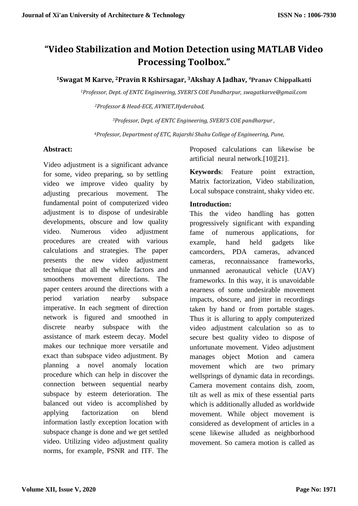# **"Video Stabilization and Motion Detection using MATLAB Video Processing Toolbox."**

#### **<sup>1</sup>Swagat M Karve, 2Pravin R Kshirsagar, 3Akshay A Jadhav, <sup>4</sup>Pranav Chippalkatti**

*<sup>1</sup>Professor, Dept. of ENTC Engineering, SVERI'S COE Pandharpur, swagatkarve@gmail.com*

*<sup>2</sup>Professor & Head-ECE, AVNIET,Hyderabad,* 

*<sup>3</sup>Professor, Dept. of ENTC Engineering, SVERI'S COE pandharpur ,* 

*<sup>4</sup>Professor, Department of ETC, Rajarshi Shahu College of Engineering, Pune,* 

#### **Abstract:**

Video adjustment is a significant advance for some, video preparing, so by settling video we improve video quality by adjusting precarious movement. The fundamental point of computerized video adjustment is to dispose of undesirable developments, obscure and low quality video. Numerous video adjustment procedures are created with various calculations and strategies. The paper presents the new video adjustment technique that all the while factors and smoothens movement directions. The paper centers around the directions with a period variation nearby subspace imperative. In each segment of direction network is figured and smoothed in discrete nearby subspace with the assistance of mark esteem decay. Model makes our technique more versatile and exact than subspace video adjustment. By planning a novel anomaly location procedure which can help in discover the connection between sequential nearby subspace by esteem deterioration. The balanced out video is accomplished by applying factorization on blend information lastly exception location with subspace change is done and we get settled video. Utilizing video adjustment quality norms, for example, PSNR and ITF. The

Proposed calculations can likewise be artificial neural network.[10][21].

**Keywords**: Feature point extraction, Matrix factorization, Video stabilization, Local subspace constraint, shaky video etc.

#### **Introduction:**

This the video handling has gotten progressively significant with expanding fame of numerous applications, for example, hand held gadgets like camcorders, PDA cameras, advanced cameras, reconnaissance frameworks, unmanned aeronautical vehicle (UAV) frameworks. In this way, it is unavoidable nearness of some undesirable movement impacts, obscure, and jitter in recordings taken by hand or from portable stages. Thus it is alluring to apply computerized video adjustment calculation so as to secure best quality video to dispose of unfortunate movement. Video adjustment manages object Motion and camera movement which are two primary wellsprings of dynamic data in recordings. Camera movement contains dish, zoom, tilt as well as mix of these essential parts which is additionally alluded as worldwide movement. While object movement is considered as development of articles in a scene likewise alluded as neighborhood movement. So camera motion is called as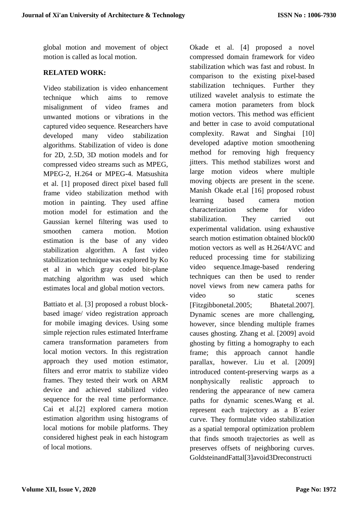global motion and movement of object motion is called as local motion.

#### **RELATED WORK:**

Video stabilization is video enhancement technique which aims to remove misalignment of video frames and unwanted motions or vibrations in the captured video sequence. Researchers have developed many video stabilization algorithms. Stabilization of video is done for 2D, 2.5D, 3D motion models and for compressed video streams such as MPEG, MPEG-2, H.264 or MPEG-4. Matsushita et al. [1] proposed direct pixel based full frame video stabilization method with motion in painting. They used affine motion model for estimation and the Gaussian kernel filtering was used to smoothen camera motion. Motion estimation is the base of any video stabilization algorithm. A fast video stabilization technique was explored by Ko et al in which gray coded bit-plane matching algorithm was used which estimates local and global motion vectors.

Battiato et al. [3] proposed a robust blockbased image/ video registration approach for mobile imaging devices. Using some simple rejection rules estimated Interframe camera transformation parameters from local motion vectors. In this registration approach they used motion estimator, filters and error matrix to stabilize video frames. They tested their work on ARM device and achieved stabilized video sequence for the real time performance. Cai et al.[2] explored camera motion estimation algorithm using histograms of local motions for mobile platforms. They considered highest peak in each histogram of local motions.

Okade et al. [4] proposed a novel compressed domain framework for video stabilization which was fast and robust. In comparison to the existing pixel-based stabilization techniques. Further they utilized wavelet analysis to estimate the camera motion parameters from block motion vectors. This method was efficient and better in case to avoid computational complexity. Rawat and Singhai [10] developed adaptive motion smoothening method for removing high frequency jitters. This method stabilizes worst and large motion videos where multiple moving objects are present in the scene. Manish Okade et.al [16] proposed robust learning based camera motion characterization scheme for video stabilization. They carried out experimental validation. using exhaustive search motion estimation obtained block00 motion vectors as well as H.264/AVC and reduced processing time for stabilizing video sequence.Image-based rendering techniques can then be used to render novel views from new camera paths for video so static scenes [Fitzgibbonetal.2005; Bhatetal.2007]. Dynamic scenes are more challenging, however, since blending multiple frames causes ghosting. Zhang et al. [2009] avoid ghosting by fitting a homography to each frame; this approach cannot handle parallax, however. Liu et al. [2009] introduced content-preserving warps as a nonphysically realistic approach to rendering the appearance of new camera paths for dynamic scenes.Wang et al. represent each trajectory as a B´ezier curve. They formulate video stabilization as a spatial temporal optimization problem that finds smooth trajectories as well as preserves offsets of neighboring curves. GoldsteinandFattal[3]avoid3Dreconstructi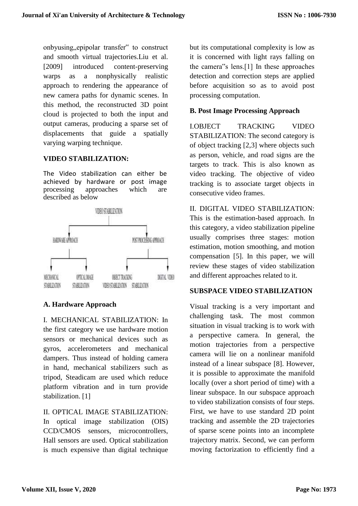onbyusing, epipolar transfer<sup>\*\*</sup> to construct and smooth virtual trajectories.Liu et al. [2009] introduced content-preserving warps as a nonphysically realistic approach to rendering the appearance of new camera paths for dynamic scenes. In this method, the reconstructed 3D point cloud is projected to both the input and output cameras, producing a sparse set of displacements that guide a spatially varying warping technique.

# **VIDEO STABILIZATION:**

The Video stabilization can either be achieved by hardware or post image processing approaches which are described as below



# **A. Hardware Approach**

I. MECHANICAL STABILIZATION: In the first category we use hardware motion sensors or mechanical devices such as gyros, accelerometers and mechanical dampers. Thus instead of holding camera in hand, mechanical stabilizers such as tripod, Steadicam are used which reduce platform vibration and in turn provide stabilization. [1]

II. OPTICAL IMAGE STABILIZATION: In optical image stabilization (OIS) CCD/CMOS sensors, microcontrollers, Hall sensors are used. Optical stabilization is much expensive than digital technique

but its computational complexity is low as it is concerned with light rays falling on the camera"s lens.[1] In these approaches detection and correction steps are applied before acquisition so as to avoid post processing computation.

# **B. Post Image Processing Approach**

I.OBJECT TRACKING VIDEO STABILIZATION: The second category is of object tracking [2,3] where objects such as person, vehicle, and road signs are the targets to track. This is also known as video tracking. The objective of video tracking is to associate target objects in consecutive video frames.

II. DIGITAL VIDEO STABILIZATION: This is the estimation-based approach. In this category, a video stabilization pipeline usually comprises three stages: motion estimation, motion smoothing, and motion compensation [5]. In this paper, we will review these stages of video stabilization and different approaches related to it.

# **SUBSPACE VIDEO STABILIZATION**

Visual tracking is a very important and challenging task. The most common situation in visual tracking is to work with a perspective camera. In general, the motion trajectories from a perspective camera will lie on a nonlinear manifold instead of a linear subspace [8]. However, it is possible to approximate the manifold locally (over a short period of time) with a linear subspace. In our subspace approach to video stabilization consists of four steps. First, we have to use standard 2D point tracking and assemble the 2D trajectories of sparse scene points into an incomplete trajectory matrix. Second, we can perform moving factorization to efficiently find a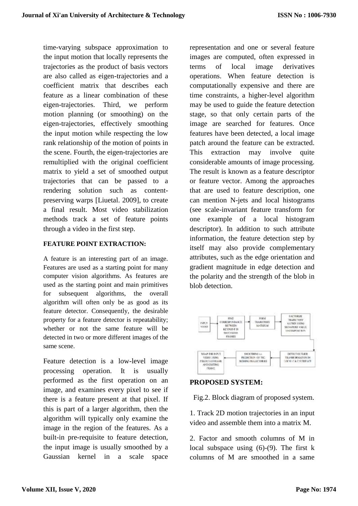time-varying subspace approximation to the input motion that locally represents the trajectories as the product of basis vectors are also called as eigen-trajectories and a coefficient matrix that describes each feature as a linear combination of these eigen-trajectories. Third, we perform motion planning (or smoothing) on the eigen-trajectories, effectively smoothing the input motion while respecting the low rank relationship of the motion of points in the scene. Fourth, the eigen-trajectories are remultiplied with the original coefficient matrix to yield a set of smoothed output trajectories that can be passed to a rendering solution such as contentpreserving warps [Liuetal. 2009], to create a final result. Most video stabilization methods track a set of feature points through a video in the first step.

#### **FEATURE POINT EXTRACTION:**

A feature is an interesting part of an image. Features are used as a starting point for many computer vision algorithms. As features are used as the starting point and main primitives for subsequent algorithms, the overall algorithm will often only be as good as its feature detector. Consequently, the desirable property for a feature detector is repeatability; whether or not the same feature will be detected in two or more different images of the same scene.

Feature detection is a low-level image processing operation. It is usually performed as the first operation on an image, and examines every pixel to see if there is a feature present at that pixel. If this is part of a larger algorithm, then the algorithm will typically only examine the image in the region of the features. As a built-in pre-requisite to feature detection, the input image is usually smoothed by a Gaussian kernel in a scale space

representation and one or several feature images are computed, often expressed in terms of local image derivatives operations. When feature detection is computationally expensive and there are time constraints, a higher-level algorithm may be used to guide the feature detection stage, so that only certain parts of the image are searched for features. Once features have been detected, a local image patch around the feature can be extracted. This extraction may involve quite considerable amounts of image processing. The result is known as a feature descriptor or feature vector. Among the approaches that are used to feature description, one can mention N-jets and local histograms (see scale-invariant feature transform for one example of a local histogram descriptor). In addition to such attribute information, the feature detection step by itself may also provide complementary attributes, such as the edge orientation and gradient magnitude in edge detection and the polarity and the strength of the blob in blob detection.



#### **PROPOSED SYSTEM:**

Fig.2. Block diagram of proposed system.

1. Track 2D motion trajectories in an input video and assemble them into a matrix M.

2. Factor and smooth columns of M in local subspace using (6)-(9). The first k columns of M are smoothed in a same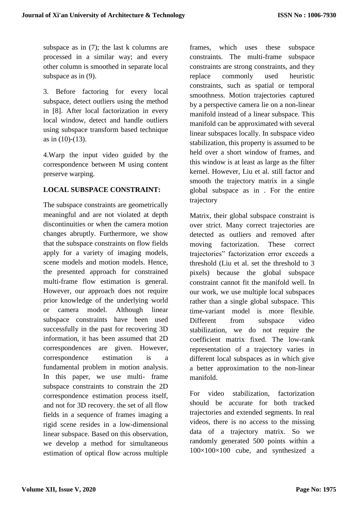subspace as in (7); the last k columns are processed in a similar way; and every other column is smoothed in separate local subspace as in (9).

3. Before factoring for every local subspace, detect outliers using the method in [8]. After local factorization in every local window, detect and handle outliers using subspace transform based technique as in (10)-(13).

4.Warp the input video guided by the correspondence between M using content preserve warping.

# **LOCAL SUBSPACE CONSTRAINT:**

The subspace constraints are geometrically meaningful and are not violated at depth discontinuities or when the camera motion changes abruptly. Furthermore, we show that the subspace constraints on flow fields apply for a variety of imaging models, scene models and motion models. Hence, the presented approach for constrained multi-frame flow estimation is general. However, our approach does not require prior knowledge of the underlying world or camera model. Although linear subspace constraints have been used successfully in the past for recovering 3D information, it has been assumed that 2D correspondences are given. However, correspondence estimation is a fundamental problem in motion analysis. In this paper, we use multi- frame subspace constraints to constrain the 2D correspondence estimation process itself, and not for 3D recovery. the set of all flow fields in a sequence of frames imaging a rigid scene resides in a low-dimensional linear subspace. Based on this observation, we develop a method for simultaneous estimation of optical flow across multiple

frames, which uses these subspace constraints. The multi-frame subspace constraints are strong constraints, and they replace commonly used heuristic constraints, such as spatial or temporal smoothness. Motion trajectories captured by a perspective camera lie on a non-linear manifold instead of a linear subspace. This manifold can be approximated with several linear subspaces locally. In subspace video stabilization, this property is assumed to be held over a short window of frames, and this window is at least as large as the filter kernel. However, Liu et al. still factor and smooth the trajectory matrix in a single global subspace as in . For the entire trajectory

Matrix, their global subspace constraint is over strict. Many correct trajectories are detected as outliers and removed after moving factorization. These correct trajectories" factorization error exceeds a threshold (Liu et al. set the threshold to 3 pixels) because the global subspace constraint cannot fit the manifold well. In our work, we use multiple local subspaces rather than a single global subspace. This time-variant model is more flexible. Different from subspace video stabilization, we do not require the coefficient matrix fixed. The low-rank representation of a trajectory varies in different local subspaces as in which give a better approximation to the non-linear manifold.

For video stabilization, factorization should be accurate for both tracked trajectories and extended segments. In real videos, there is no access to the missing data of a trajectory matrix. So we randomly generated 500 points within a 100×100×100 cube, and synthesized a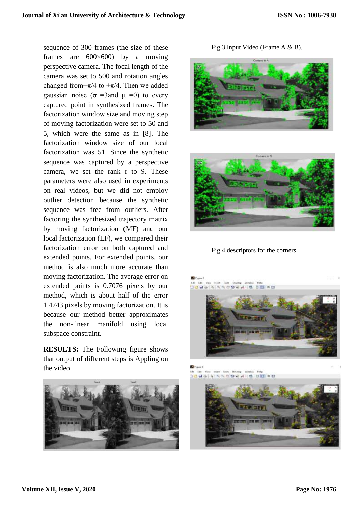sequence of 300 frames (the size of these frames are 600×600) by a moving perspective camera. The focal length of the camera was set to 500 and rotation angles changed from– $\pi/4$  to + $\pi/4$ . Then we added gaussian noise ( $\sigma$  =3and  $\mu$  =0) to every captured point in synthesized frames. The factorization window size and moving step of moving factorization were set to 50 and 5, which were the same as in [8]. The factorization window size of our local factorization was 51. Since the synthetic sequence was captured by a perspective camera, we set the rank r to 9. These parameters were also used in experiments on real videos, but we did not employ outlier detection because the synthetic sequence was free from outliers. After factoring the synthesized trajectory matrix by moving factorization (MF) and our local factorization (LF), we compared their factorization error on both captured and extended points. For extended points, our method is also much more accurate than moving factorization. The average error on extended points is 0.7076 pixels by our method, which is about half of the error 1.4743 pixels by moving factorization. It is because our method better approximates the non-linear manifold using local subspace constraint.

**RESULTS:** The Following figure shows that output of different steps is Appling on the video



Fig.3 Input Video (Frame A & B).





Fig.4 descriptors for the corners.



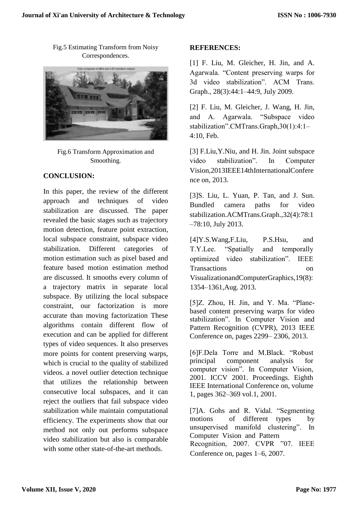Fig.5 Estimating Transform from Noisy Correspondences.



Fig.6 Transform Approximation and Smoothing.

# **CONCLUSION:**

In this paper, the review of the different approach and techniques of video stabilization are discussed. The paper revealed the basic stages such as trajectory motion detection, feature point extraction, local subspace constraint, subspace video stabilization. Different categories of motion estimation such as pixel based and feature based motion estimation method are discussed. It smooths every column of a trajectory matrix in separate local subspace. By utilizing the local subspace constraint, our factorization is more accurate than moving factorization These algorithms contain different flow of execution and can be applied for different types of video sequences. It also preserves more points for content preserving warps, which is crucial to the quality of stabilized videos. a novel outlier detection technique that utilizes the relationship between consecutive local subspaces, and it can reject the outliers that fail subspace video stabilization while maintain computational efficiency. The experiments show that our method not only out performs subspace video stabilization but also is comparable with some other state-of-the-art methods.

#### **REFERENCES:**

[1] F. Liu, M. Gleicher, H. Jin, and A. Agarwala. "Content preserving warps for 3d video stabilization". ACM Trans. Graph., 28(3):44:1–44:9, July 2009.

[2] F. Liu, M. Gleicher, J. Wang, H. Jin, and A. Agarwala. "Subspace video stabilization".CMTrans.Graph,30(1):4:1– 4:10, Feb.

[3] F.Liu,Y.Niu, and H. Jin. Joint subspace video stabilization". In Computer Vision,2013IEEE14thInternationalConfere nce on, 2013.

[3]S. Liu, L. Yuan, P. Tan, and J. Sun. Bundled camera paths for video stabilization.ACMTrans.Graph.,32(4):78:1 –78:10, July 2013.

[4]Y.S.Wang,F.Liu, P.S.Hsu, and T.Y.Lee. "Spatially and temporally optimized video stabilization". IEEE Transactions on VisualizationandComputerGraphics,19(8): 1354–1361,Aug. 2013.

[5]Z. Zhou, H. Jin, and Y. Ma. "Planebased content preserving warps for video stabilization". In Computer Vision and Pattern Recognition (CVPR), 2013 IEEE Conference on, pages 2299– 2306, 2013.

[6]F.Dela Torre and M.Black. "Robust principal component analysis for computer vision". In Computer Vision, 2001. ICCV 2001. Proceedings. Eighth IEEE International Conference on, volume 1, pages 362–369 vol.1, 2001.

[7]A. Gohs and R. Vidal. "Segmenting motions of different types by unsupervised manifold clustering". In Computer Vision and Pattern Recognition, 2007. CVPR "07. IEEE Conference on, pages 1–6, 2007.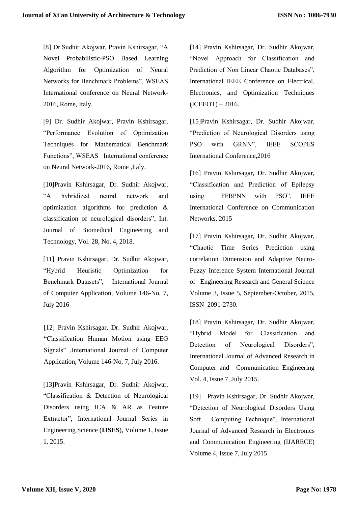[8] Dr.Sudhir Akojwar, Pravin Kshirsagar, "A Novel Probabilistic-PSO Based Learning Algorithm for Optimization of Neural Networks for Benchmark Problems", WSEAS International conference on Neural Network-2016, Rome, Italy.

[9] Dr. Sudhir Akojwar, Pravin Kshirsagar, "Performance Evolution of Optimization Techniques for Mathematical Benchmark Functions", WSEAS International conference on Neural Network-2016, Rome ,Italy.

[10]Pravin Kshirsagar, Dr. Sudhir Akojwar, "A hybridized neural network and optimization algorithms for prediction & classification of neurological disorders", Int. Journal of Biomedical Engineering and Technology, Vol. 28, No. 4, 2018.

[11] Pravin Kshirsagar, Dr. Sudhir Akojwar, "Hybrid Heuristic Optimization for Benchmark Datasets", International Journal of Computer Application, Volume 146-No, 7, July 2016

[12] Pravin Kshirsagar, Dr. Sudhir Akojwar, "Classification Human Motion using EEG Signals" ,International Journal of Computer Application, Volume 146-No, 7, July 2016.

[13]Pravin Kshirsagar, Dr. Sudhir Akojwar, "Classification & Detection of Neurological Disorders using ICA & AR as Feature Extractor", International Journal Series in Engineering Science (**IJSES**), Volume 1, Issue 1, 2015.

[14] Pravin Kshirsagar, Dr. Sudhir Akojwar, "Novel Approach for Classification and Prediction of Non Linear Chaotic Databases", International IEEE Conference on Electrical, Electronics, and Optimization Techniques  $(ICEEOT) - 2016.$ 

[15]Pravin Kshirsagar, Dr. Sudhir Akojwar, "Prediction of Neurological Disorders using PSO with GRNN", IEEE SCOPES International Conference,2016

[16] Pravin Kshirsagar, Dr. Sudhir Akojwar, "Classification and Prediction of Epilepsy using FFBPNN with PSO", IEEE International Conference on Communication Networks, 2015

[17] Pravin Kshirsagar, Dr. Sudhir Akojwar, "Chaotic Time Series Prediction using correlation Dimension and Adaptive Neuro-Fuzzy Inference System International Journal of Engineering Research and General Science Volume 3, Issue 5, September-October, 2015, ISSN 2091-2730.

[18] Pravin Kshirsagar, Dr. Sudhir Akojwar, "Hybrid Model for Classification and Detection of Neurological Disorders", International Journal of Advanced Research in Computer and Communication Engineering Vol. 4, Issue 7, July 2015.

[19] Pravin Kshirsagar, Dr. Sudhir Akojwar, "Detection of Neurological Disorders Using Soft Computing Technique", International Journal of Advanced Research in Electronics and Communication Engineering (IJARECE) Volume 4, Issue 7, July 2015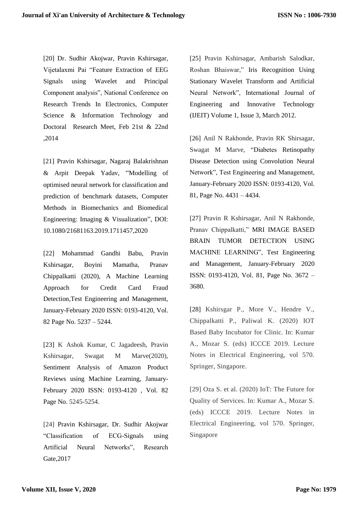[20] Dr. Sudhir Akojwar, Pravin Kshirsagar, Vijetalaxmi Pai "Feature Extraction of EEG Signals using Wavelet and Principal Component analysis", National Conference on Research Trends In Electronics, Computer Science & Information Technology and Doctoral Research Meet, Feb 21st & 22nd ,2014

[21] Pravin Kshirsagar, Nagaraj Balakrishnan & Arpit Deepak Yadav, "Modelling of optimised neural network for classification and prediction of benchmark datasets, Computer Methods in Biomechanics and Biomedical Engineering: Imaging & Visualization", DOI: [10.1080/21681163.2019.1711457,](https://doi.org/10.1080/21681163.2019.1711457)2020

[22] Mohammad Gandhi Babu, Pravin Kshirsagar, Boyini Mamatha, Pranav Chippalkatti (2020), A Machine Learning Approach for Credit Card Fraud Detection,Test Engineering and Management, January-February 2020 ISSN: 0193-4120, Vol. 82 Page No. 5237 – 5244.

[23] K Ashok Kumar, C Jagadeesh, Pravin Kshirsagar, Swagat M Marve(2020), Sentiment Analysis of Amazon Product Reviews using Machine Learning, January-February 2020 ISSN: 0193-4120 , Vol. 82 Page No. 5245-5254.

[24] Pravin Kshirsagar, Dr. Sudhir Akojwar "Classification of ECG-Signals using Artificial Neural Networks", Research Gate,2017

[25] Pravin Kshirsagar, Ambarish Salodkar, Roshan Bhaiswar," Iris Recognition Using Stationary Wavelet Transform and Artificial Neural Network", International Journal of Engineering and Innovative Technology (IJEIT) Volume 1, Issue 3, March 2012.

[26] Anil N Rakhonde, Pravin RK Shirsagar, Swagat M Marve, "Diabetes Retinopathy Disease Detection using Convolution Neural Network", Test Engineering and Management, January-February 2020 ISSN: 0193-4120, Vol. 81, Page No. 4431 – 4434.

[27] Pravin R Kshirsagar, Anil N Rakhonde, Pranav Chippalkatti," MRI IMAGE BASED BRAIN TUMOR DETECTION USING MACHINE LEARNING", Test Engineering and Management, January-February 2020 ISSN: 0193-4120, Vol. 81, Page No. 3672 – 3680.

[28] Kshirsgar P., More V., Hendre V., Chippalkatti P., Paliwal K. (2020) IOT Based Baby Incubator for Clinic. In: Kumar A., Mozar S. (eds) ICCCE 2019. Lecture Notes in Electrical Engineering, vol 570. Springer, Singapore.

[29] Oza S. et al. (2020) IoT: The Future for Quality of Services. In: Kumar A., Mozar S. (eds) ICCCE 2019. Lecture Notes in Electrical Engineering, vol 570. Springer, Singapore